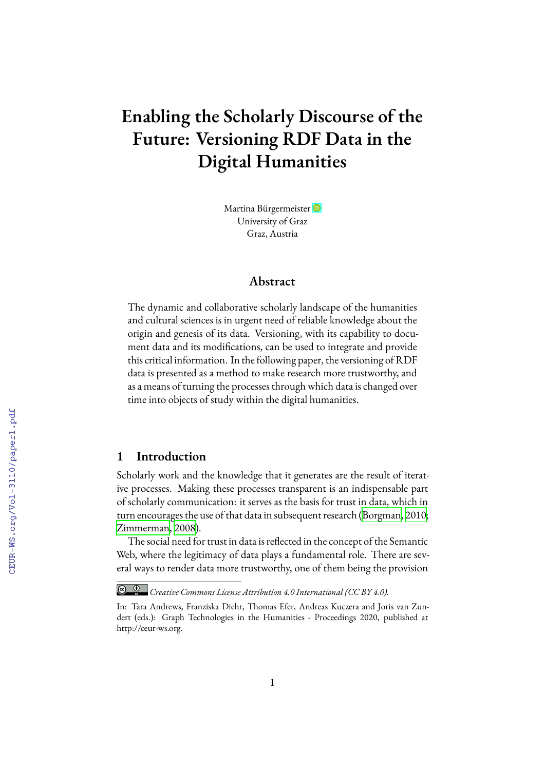# **Enabling the Scholarly Discourse of the Future: Versioning RDF Data in the Digital Humanities**

Martina Bürgermeister University of Graz Graz, Austria

# **Abstract**

The dynamic and collaborative scholarly landscape of the humanities and cultural sciences is in urgent need of reliable knowledge about the origin and genesis of its data. Versioning, with its capability to document data and its modifications, can be used to integrate and provide this critical information. In the following paper, the versioning of RDF data is presented as a method to make research more trustworthy, and as a means of turning the processes through which data is changed over time into objects of study within the digital humanities.

# **1 Introduction**

Scholarly work and the knowledge that it generates are the result of iterative processes. Making these processes transparent is an indispensable part of scholarly communication: it serves as the basis for trust in data, which in turn encourages the use of that data in subsequent research([Borgman](#page--1-0), [2010;](#page--1-0) [Zimmerman](#page--1-1), [2008](#page--1-1)).

The social need for trust in data is reflected in the concept of the Semantic Web, where the legitimacy of data plays a fundamental role. There are several ways to render data more trustworthy, one of them being the provision

*Creative Commons License Attribution 4.0 International (CC BY 4.0).*

In: Tara Andrews, Franziska Diehr, Thomas Efer, Andreas Kuczera and Joris van Zundert (eds.): Graph Technologies in the Humanities - Proceedings 2020, published at http://ceur-ws.org.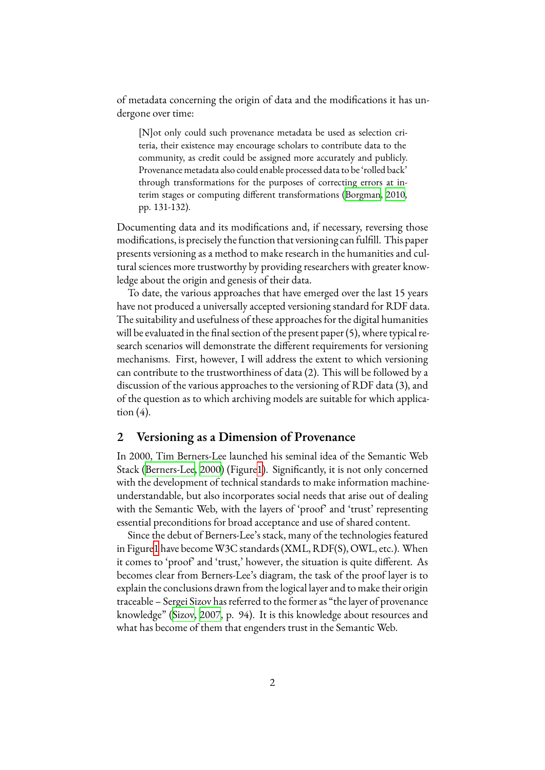of metadata concerning the origin of data and the modifications it has undergone over time:

[N]ot only could such provenance metadata be used as selection criteria, their existence may encourage scholars to contribute data to the community, as credit could be assigned more accurately and publicly. Provenance metadata also could enable processed data to be 'rolled back' through transformations for the purposes of correcting errors at interim stages or computing different transformations [\(Borgman,](#page-14-0) [2010,](#page-14-0) pp. 131-132).

Documenting data and its modifications and, if necessary, reversing those modifications, is precisely the function that versioning can fulfill. This paper presents versioning as a method to make research in the humanities and cultural sciences more trustworthy by providing researchers with greater knowledge about the origin and genesis of their data.

To date, the various approaches that have emerged over the last 15 years have not produced a universally accepted versioning standard for RDF data. The suitability and usefulness of these approaches for the digital humanities will be evaluated in the final section of the present paper (5), where typical research scenarios will demonstrate the different requirements for versioning mechanisms. First, however, I will address the extent to which versioning can contribute to the trustworthiness of data (2). This will be followed by a discussion of the various approaches to the versioning of RDF data (3), and of the question as to which archiving models are suitable for which application  $(4)$ .

## **2 Versioning as a Dimension of Provenance**

In 2000, Tim Berners-Lee launched his seminal idea of the Semantic Web Stack([Berners-Lee,](#page-14-1) [2000](#page-14-1)) (Figure[1\)](#page-2-0). Significantly, it is not only concerned with the development of technical standards to make information machineunderstandable, but also incorporates social needs that arise out of dealing with the Semantic Web, with the layers of 'proof' and 'trust' representing essential preconditions for broad acceptance and use of shared content.

Since the debut of Berners-Lee's stack, many of the technologies featured in Figure[1](#page-2-0) have become W3C standards (XML, RDF(S), OWL, etc.). When it comes to 'proof' and 'trust,' however, the situation is quite different. As becomes clear from Berners-Lee's diagram, the task of the proof layer is to explain the conclusions drawn from the logical layer and to make their origin traceable – Sergei Sizov has referred to the former as "the layer of provenance knowledge" [\(Sizov](#page-15-0), [2007](#page-15-0), p. 94). It is this knowledge about resources and what has become of them that engenders trust in the Semantic Web.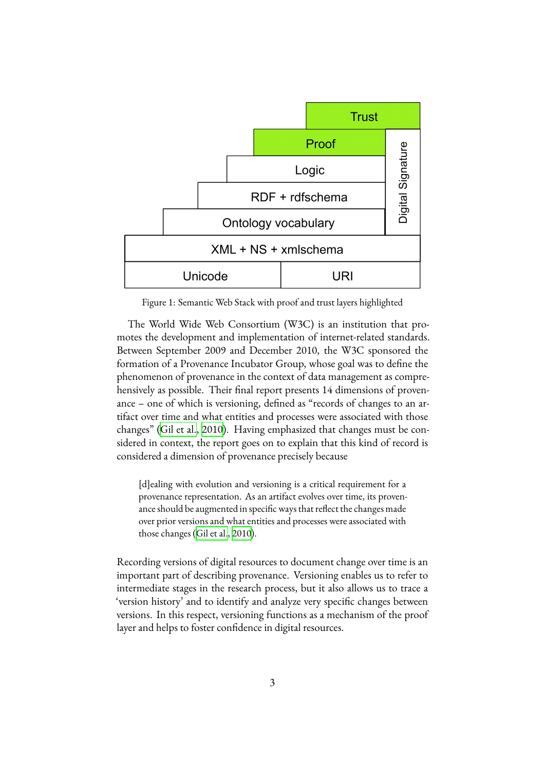<span id="page-2-0"></span>

Figure 1: Semantic Web Stack with proof and trust layers highlighted

The World Wide Web Consortium (W3C) is an institution that promotes the development and implementation of internet-related standards. Between September 2009 and December 2010, the W3C sponsored the formation of a Provenance Incubator Group, whose goal was to define the phenomenon of provenance in the context of data management as comprehensively as possible. Their final report presents 14 dimensions of provenance – one of which is versioning, defined as "records of changes to an artifact over time and what entities and processes were associated with those changes" [\(Gil et al.,](#page-14-2) [2010\)](#page-14-2). Having emphasized that changes must be considered in context, the report goes on to explain that this kind of record is considered a dimension of provenance precisely because

[d]ealing with evolution and versioning is a critical requirement for a provenance representation. As an artifact evolves over time, its provenance should be augmented in specific ways that reflect the changes made over prior versions and what entities and processes were associated with those changes [\(Gil et al.,](#page-14-2) [2010\)](#page-14-2).

Recording versions of digital resources to document change over time is an important part of describing provenance. Versioning enables us to refer to intermediate stages in the research process, but it also allows us to trace a 'version history' and to identify and analyze very specific changes between versions. In this respect, versioning functions as a mechanism of the proof layer and helps to foster confidence in digital resources.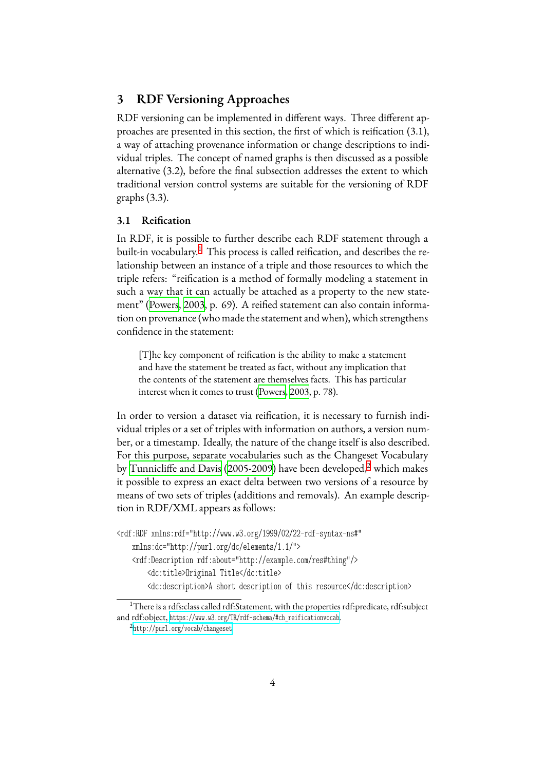# **3 RDF Versioning Approaches**

RDF versioning can be implemented in different ways. Three different approaches are presented in this section, the first of which is reification (3.1), a way of attaching provenance information or change descriptions to individual triples. The concept of named graphs is then discussed as a possible alternative (3.2), before the final subsection addresses the extent to which traditional version control systems are suitable for the versioning of RDF graphs (3.3).

#### **3.1 Reification**

In RDF, it is possible to further describe each RDF statement through a built-in vocabulary.<sup>[1](#page-3-0)</sup> This process is called reification, and describes the relationship between an instance of a triple and those resources to which the triple refers: "reification is a method of formally modeling a statement in such a way that it can actually be attached as a property to the new statement" [\(Powers](#page-15-1), [2003,](#page-15-1) p. 69). A reified statement can also contain information on provenance (who made the statement and when), which strengthens confidence in the statement:

[T]he key component of reification is the ability to make a statement and have the statement be treated as fact, without any implication that the contents of the statement are themselves facts. This has particular interest when it comes to trust([Powers,](#page-15-1) [2003,](#page-15-1) p. 78).

In order to version a dataset via reification, it is necessary to furnish individual triples or a set of triples with information on authors, a version number, or a timestamp. Ideally, the nature of the change itself is also described. For this purpose, separate vocabularies such as the Changeset Vocabulary by [Tunnicliffe and Davis](#page-15-2) ([2005-2009\)](#page-15-2) have been developed,<sup>[2](#page-3-1)</sup> which makes it possible to express an exact delta between two versions of a resource by means of two sets of triples (additions and removals). An example description in RDF/XML appears as follows:

```
<rdf:RDF xmlns:rdf="http://www.w3.org/1999/02/22-rdf-syntax-ns#"
   xmlns:dc="http://purl.org/dc/elements/1.1/">
    <rdf:Description rdf:about="http://example.com/res#thing"/>
        <dc:title>Original Title</dc:title>
        <dc:description>A short description of this resource</dc:description>
```
<span id="page-3-0"></span><sup>&</sup>lt;sup>1</sup>There is a rdfs:class called rdf:Statement, with the properties rdf:predicate, rdf:subject and rdf:object, [https://www.w3.org/TR/rdf-schema/#ch\\_reificationvocab](https://www.w3.org/TR/rdf-schema/##ch_reificationvocab).

<span id="page-3-1"></span><sup>2</sup> <http://purl.org/vocab/changeset>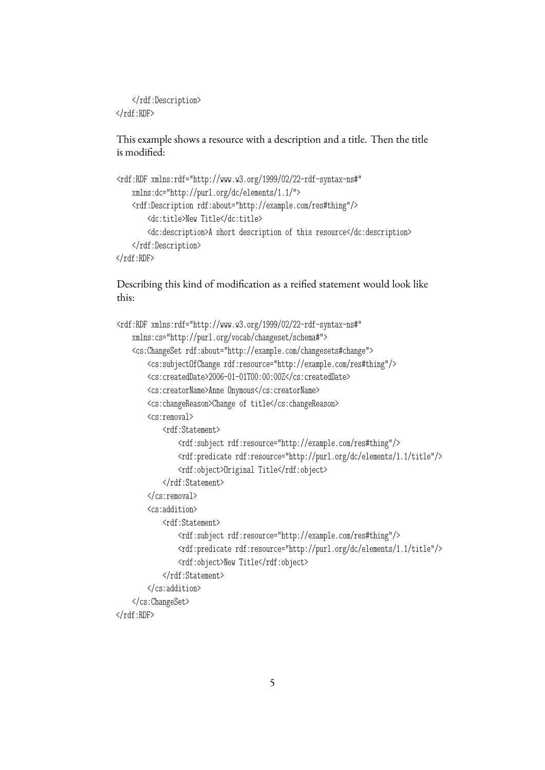</rdf:Description>  $\langle \text{rdf:RDF} \rangle$ 

This example shows a resource with a description and a title. Then the title is modified:

```
<rdf:RDF xmlns:rdf="http://www.w3.org/1999/02/22-rdf-syntax-ns#"
   xmlns:dc="http://purl.org/dc/elements/1.1/">
    <rdf:Description rdf:about="http://example.com/res#thing"/>
        <dc:title>New Title</dc:title>
        <dc:description>A short description of this resource</dc:description>
    </rdf:Description>
```
 $\langle \text{rdf:RDF} \rangle$ 

Describing this kind of modification as a reified statement would look like this:

```
<rdf:RDF xmlns:rdf="http://www.w3.org/1999/02/22-rdf-syntax-ns#"
    xmlns:cs="http://purl.org/vocab/changeset/schema#">
    <cs:ChangeSet rdf:about="http://example.com/changesets#change">
        <cs:subjectOfChange rdf:resource="http://example.com/res#thing"/>
        <cs:createdDate>2006-01-01T00:00:00Z</cs:createdDate>
        <cs:creatorName>Anne Onymous</cs:creatorName>
        <cs:changeReason>Change of title</cs:changeReason>
        <cs:removal>
            <rdf:Statement>
                <rdf:subject rdf:resource="http://example.com/res#thing"/>
                <rdf:predicate rdf:resource="http://purl.org/dc/elements/1.1/title"/>
                <rdf:object>Original Title</rdf:object>
            </rdf:Statement>
        </cs:removal>
        <cs:addition>
            <rdf:Statement>
                <rdf:subject rdf:resource="http://example.com/res#thing"/>
                <rdf:predicate rdf:resource="http://purl.org/dc/elements/1.1/title"/>
                <rdf:object>New Title</rdf:object>
            </rdf:Statement>
        </cs:addition>
    </cs:ChangeSet>
\langlerdf:RDF>
```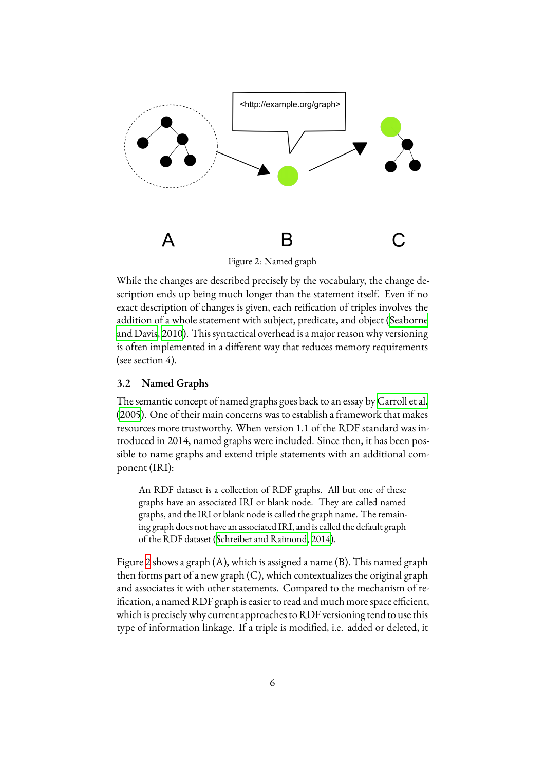<span id="page-5-0"></span>

Figure 2: Named graph

While the changes are described precisely by the vocabulary, the change description ends up being much longer than the statement itself. Even if no exact description of changes is given, each reification of triples involves the addition of a whole statement with subject, predicate, and object([Seaborne](#page-15-3) [and Davis](#page-15-3), [2010\)](#page-15-3). This syntactical overhead is a major reason why versioning is often implemented in a different way that reduces memory requirements (see section 4).

## **3.2 Named Graphs**

The semantic concept of named graphs goes back to an essay by [Carroll et al.](#page-14-3) ([2005\)](#page-14-3). One of their main concerns was to establish a framework that makes resources more trustworthy. When version 1.1 of the RDF standard was introduced in 2014, named graphs were included. Since then, it has been possible to name graphs and extend triple statements with an additional component (IRI):

An RDF dataset is a collection of RDF graphs. All but one of these graphs have an associated IRI or blank node. They are called named graphs, and the IRI or blank node is called the graph name. The remaining graph does not have an associated IRI, and is called the default graph of the RDF dataset [\(Schreiber and Raimond](#page-15-4), [2014](#page-15-4)).

Figure [2](#page-5-0) shows a graph (A), which is assigned a name (B). This named graph then forms part of a new graph  $(C)$ , which contextualizes the original graph and associates it with other statements. Compared to the mechanism of reification, a named RDF graph is easier to read and much more space efficient, which is precisely why current approaches to RDF versioning tend to use this type of information linkage. If a triple is modified, i.e. added or deleted, it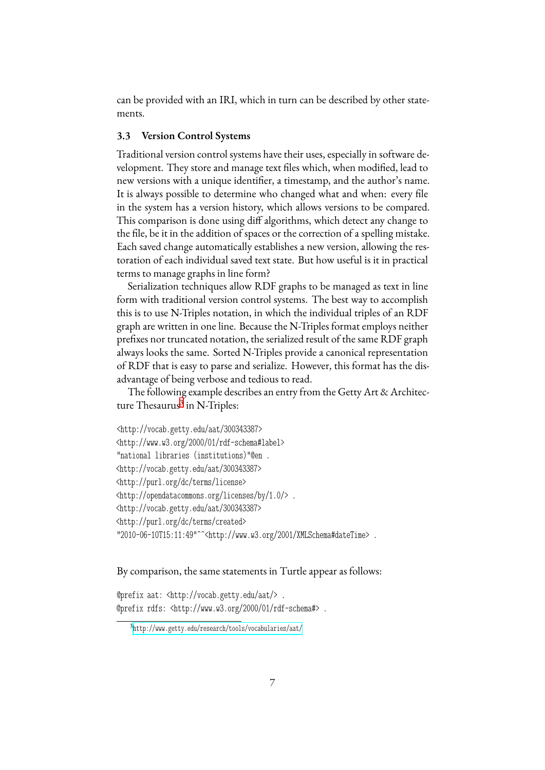can be provided with an IRI, which in turn can be described by other statements.

### **3.3 Version Control Systems**

Traditional version control systems have their uses, especially in software development. They store and manage text files which, when modified, lead to new versions with a unique identifier, a timestamp, and the author's name. It is always possible to determine who changed what and when: every file in the system has a version history, which allows versions to be compared. This comparison is done using diff algorithms, which detect any change to the file, be it in the addition of spaces or the correction of a spelling mistake. Each saved change automatically establishes a new version, allowing the restoration of each individual saved text state. But how useful is it in practical terms to manage graphs in line form?

Serialization techniques allow RDF graphs to be managed as text in line form with traditional version control systems. The best way to accomplish this is to use N-Triples notation, in which the individual triples of an RDF graph are written in one line. Because the N-Triples format employs neither prefixes nor truncated notation, the serialized result of the same RDF graph always looks the same. Sorted N-Triples provide a canonical representation of RDF that is easy to parse and serialize. However, this format has the disadvantage of being verbose and tedious to read.

The following example describes an entry from the Getty Art & Architec-ture Thesaurus<sup>[3](#page-6-0)</sup> in N-Triples:

```
<http://vocab.getty.edu/aat/300343387>
<http://www.w3.org/2000/01/rdf-schema#label>
"national libraries (institutions)"@en .
<http://vocab.getty.edu/aat/300343387>
<http://purl.org/dc/terms/license>
<http://opendatacommons.org/licenses/by/1.0/> .
<http://vocab.getty.edu/aat/300343387>
<http://purl.org/dc/terms/created>
"2010-06-10T15:11:49"^^<http://www.w3.org/2001/XMLSchema#dateTime> .
```
#### By comparison, the same statements in Turtle appear as follows:

@prefix aat: <http://vocab.getty.edu/aat/> . @prefix rdfs: <http://www.w3.org/2000/01/rdf-schema#> .

<span id="page-6-0"></span><sup>3</sup> <http://www.getty.edu/research/tools/vocabularies/aat/>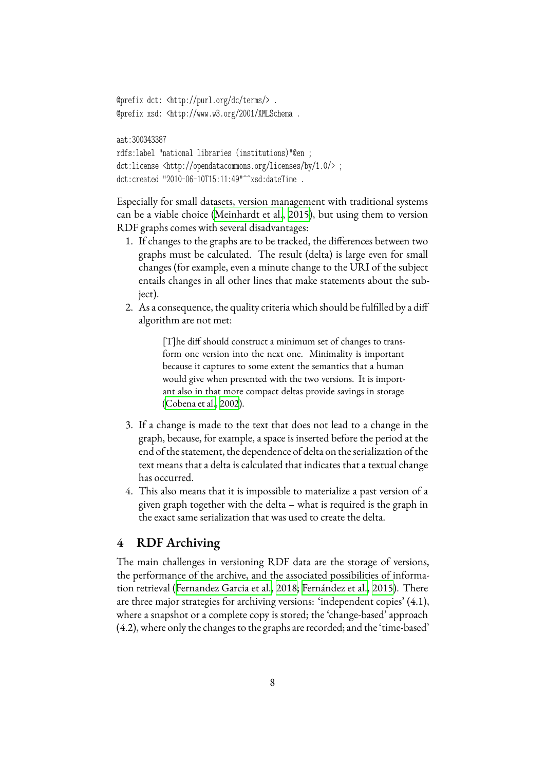```
@prefix dct: <http://purl.org/dc/terms/> .
@prefix xsd: <http://www.w3.org/2001/XMLSchema .
```
#### aat:300343387

```
rdfs:label "national libraries (institutions)"@en ;
dct:license <http://opendatacommons.org/licenses/by/1.0/> ;
dct:created "2010-06-10T15:11:49"^^xsd:dateTime .
```
Especially for small datasets, version management with traditional systems can be a viable choice [\(Meinhardt et al.,](#page-15-5) [2015\)](#page-15-5), but using them to version RDF graphs comes with several disadvantages:

- 1. If changes to the graphs are to be tracked, the differences between two graphs must be calculated. The result (delta) is large even for small changes (for example, even a minute change to the URI of the subject entails changes in all other lines that make statements about the subject).
- 2. As a consequence, the quality criteria which should be fulfilled by a diff algorithm are not met:

[T]he diff should construct a minimum set of changes to transform one version into the next one. Minimality is important because it captures to some extent the semantics that a human would give when presented with the two versions. It is important also in that more compact deltas provide savings in storage ([Cobena et al.,](#page-14-4) [2002](#page-14-4)).

- 3. If a change is made to the text that does not lead to a change in the graph, because, for example, a space is inserted before the period at the end of the statement, the dependence of delta on the serialization of the text means that a delta is calculated that indicates that a textual change has occurred.
- 4. This also means that it is impossible to materialize a past version of a given graph together with the delta – what is required is the graph in the exact same serialization that was used to create the delta.

## **4 RDF Archiving**

The main challenges in versioning RDF data are the storage of versions, the performance of the archive, and the associated possibilities of information retrieval [\(Fernandez Garcia et al.](#page-14-5), [2018;](#page-14-5) [Fernández et al.](#page-14-6), [2015\)](#page-14-6). There are three major strategies for archiving versions: 'independent copies' (4.1), where a snapshot or a complete copy is stored; the 'change-based' approach (4.2), where only the changes to the graphs are recorded; and the 'time-based'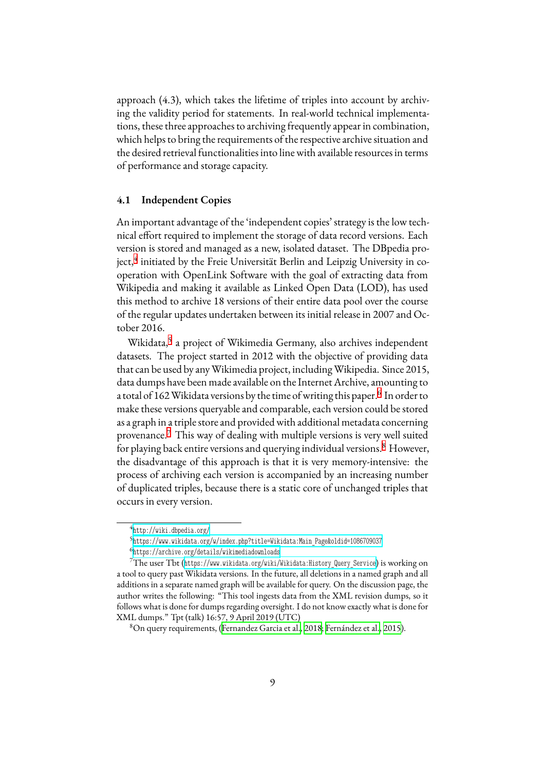approach (4.3), which takes the lifetime of triples into account by archiving the validity period for statements. In real-world technical implementations, these three approaches to archiving frequently appear in combination, which helps to bring the requirements of the respective archive situation and the desired retrieval functionalities into line with available resources in terms of performance and storage capacity.

## **4.1 Independent Copies**

An important advantage of the 'independent copies' strategy is the low technical effort required to implement the storage of data record versions. Each version is stored and managed as a new, isolated dataset. The DBpedia pro-ject,<sup>[4](#page-8-0)</sup> initiated by the Freie Universität Berlin and Leipzig University in cooperation with OpenLink Software with the goal of extracting data from Wikipedia and making it available as Linked Open Data (LOD), has used this method to archive 18 versions of their entire data pool over the course of the regular updates undertaken between its initial release in 2007 and October 2016.

Wikidata,<sup>[5](#page-8-1)</sup> a project of Wikimedia Germany, also archives independent datasets. The project started in 2012 with the objective of providing data that can be used by anyWikimedia project, includingWikipedia. Since 2015, data dumps have been made available on the Internet Archive, amounting to a total of 1[6](#page-8-2)2 Wikidata versions by the time of writing this paper.<sup>6</sup> In order to make these versions queryable and comparable, each version could be stored as a graph in a triple store and provided with additional metadata concerning provenance.[7](#page-8-3) This way of dealing with multiple versions is very well suited for playing back entire versions and querying individual versions.<sup>[8](#page-8-4)</sup> However, the disadvantage of this approach is that it is very memory-intensive: the process of archiving each version is accompanied by an increasing number of duplicated triples, because there is a static core of unchanged triples that occurs in every version.

<span id="page-8-0"></span><sup>4</sup> <http://wiki.dbpedia.org/>

<span id="page-8-1"></span><sup>5</sup> [https://www.wikidata.org/w/index.php?title=Wikidata:Main\\_Page&oldid=1086709037](https://www.wikidata.org/w/index.php?title=Wikidata:Main_Page&oldid=1086709037)

<span id="page-8-3"></span><span id="page-8-2"></span><sup>6</sup> <https://archive.org/details/wikimediadownloads>

<sup>7</sup>The user Tbt ([https://www.wikidata.org/wiki/Wikidata:History\\_Query\\_Service](https://www.wikidata.org/wiki/Wikidata:History_Query_Service)) is working on a tool to query past Wikidata versions. In the future, all deletions in a named graph and all additions in a separate named graph will be available for query. On the discussion page, the author writes the following: "This tool ingests data from the XML revision dumps, so it follows what is done for dumps regarding oversight. I do not know exactly what is done for XML dumps." Tpt (talk) 16:57, 9 April 2019 (UTC)

<span id="page-8-4"></span><sup>8</sup>On query requirements, [\(Fernandez Garcia et al.](#page-14-5), [2018;](#page-14-5) [Fernández et al.,](#page-14-6) [2015](#page-14-6)).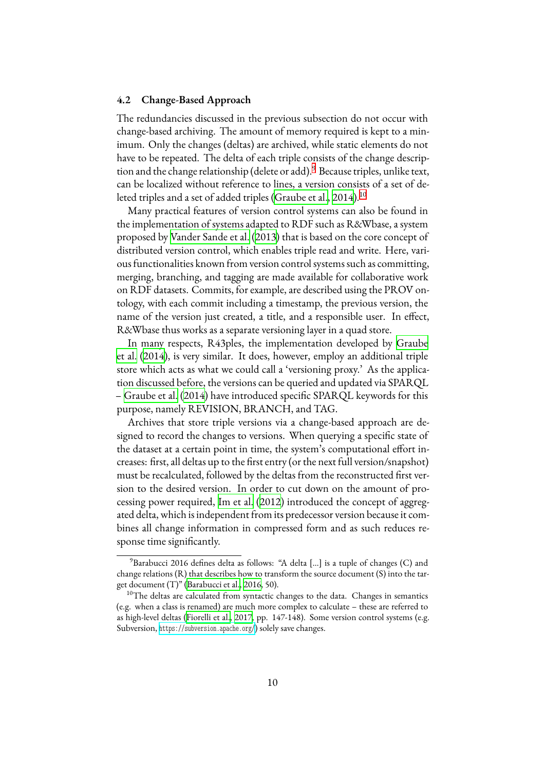### <span id="page-9-2"></span>**4.2 Change-Based Approach**

The redundancies discussed in the previous subsection do not occur with change-based archiving. The amount of memory required is kept to a minimum. Only the changes (deltas) are archived, while static elements do not have to be repeated. The delta of each triple consists of the change descrip-tion and the change relationship (delete or add).<sup>[9](#page-9-0)</sup> Because triples, unlike text, can be localized without reference to lines, a version consists of a set of de-letedtriples and a set of added triples ([Graube et al.](#page-14-7), [2014](#page-14-7)).<sup>[10](#page-9-1)</sup>

Many practical features of version control systems can also be found in the implementation of systems adapted to RDF such as R&Wbase, a system proposed by [Vander Sande et al.](#page-15-6) ([2013\)](#page-15-6) that is based on the core concept of distributed version control, which enables triple read and write. Here, various functionalities known from version control systems such as committing, merging, branching, and tagging are made available for collaborative work on RDF datasets. Commits, for example, are described using the PROV ontology, with each commit including a timestamp, the previous version, the name of the version just created, a title, and a responsible user. In effect, R&Wbase thus works as a separate versioning layer in a quad store.

In many respects, R43ples, the implementation developed by [Graube](#page-14-7) [et al.](#page-14-7) ([2014\)](#page-14-7), is very similar. It does, however, employ an additional triple store which acts as what we could call a 'versioning proxy.' As the application discussed before, the versions can be queried and updated via SPARQL – [Graube et al.](#page-14-7) ([2014\)](#page-14-7) have introduced specific SPARQL keywords for this purpose, namely REVISION, BRANCH, and TAG.

Archives that store triple versions via a change-based approach are designed to record the changes to versions. When querying a specific state of the dataset at a certain point in time, the system's computational effort increases: first, all deltas up to the first entry (or the next full version/snapshot) must be recalculated, followed by the deltas from the reconstructed first version to the desired version. In order to cut down on the amount of processing power required, [Im et al.](#page-14-8) ([2012\)](#page-14-8) introduced the concept of aggregated delta, which is independent from its predecessor version because it combines all change information in compressed form and as such reduces response time significantly.

<span id="page-9-0"></span><sup>9</sup>Barabucci 2016 defines delta as follows: "A delta […] is a tuple of changes (C) and change relations (R) that describes how to transform the source document (S) into the target document (T)" [\(Barabucci et al.,](#page-13-0) [2016](#page-13-0), 50).

<span id="page-9-1"></span> $10$ The deltas are calculated from syntactic changes to the data. Changes in semantics (e.g. when a class is renamed) are much more complex to calculate – these are referred to as high-level deltas([Fiorelli et al.](#page-14-9), [2017](#page-14-9), pp. 147-148). Some version control systems (e.g. Subversion, <https://subversion.apache.org/>) solely save changes.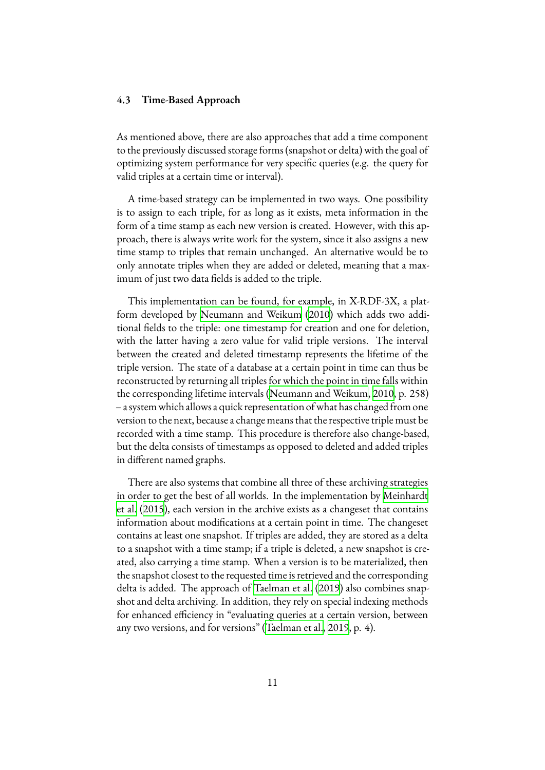#### **4.3 Time-Based Approach**

As mentioned above, there are also approaches that add a time component to the previously discussed storage forms (snapshot or delta) with the goal of optimizing system performance for very specific queries (e.g. the query for valid triples at a certain time or interval).

A time-based strategy can be implemented in two ways. One possibility is to assign to each triple, for as long as it exists, meta information in the form of a time stamp as each new version is created. However, with this approach, there is always write work for the system, since it also assigns a new time stamp to triples that remain unchanged. An alternative would be to only annotate triples when they are added or deleted, meaning that a maximum of just two data fields is added to the triple.

This implementation can be found, for example, in X-RDF-3X, a platform developed by [Neumann and Weikum](#page-15-7) [\(2010](#page-15-7)) which adds two additional fields to the triple: one timestamp for creation and one for deletion, with the latter having a zero value for valid triple versions. The interval between the created and deleted timestamp represents the lifetime of the triple version. The state of a database at a certain point in time can thus be reconstructed by returning all triples for which the point in time falls within the corresponding lifetime intervals [\(Neumann and Weikum](#page-15-7), [2010](#page-15-7), p. 258) – a systemwhich allows a quick representation of what has changed from one version to the next, because a change means that the respective triple must be recorded with a time stamp. This procedure is therefore also change-based, but the delta consists of timestamps as opposed to deleted and added triples in different named graphs.

There are also systems that combine all three of these archiving strategies in order to get the best of all worlds. In the implementation by [Meinhardt](#page-15-5) [et al.](#page-15-5) [\(2015](#page-15-5)), each version in the archive exists as a changeset that contains information about modifications at a certain point in time. The changeset contains at least one snapshot. If triples are added, they are stored as a delta to a snapshot with a time stamp; if a triple is deleted, a new snapshot is created, also carrying a time stamp. When a version is to be materialized, then the snapshot closest to the requested time is retrieved and the corresponding delta is added. The approach of [Taelman et al.](#page-15-8) [\(2019](#page-15-8)) also combines snapshot and delta archiving. In addition, they rely on special indexing methods for enhanced efficiency in "evaluating queries at a certain version, between any two versions, and for versions" [\(Taelman et al.](#page-15-8), [2019](#page-15-8), p. 4).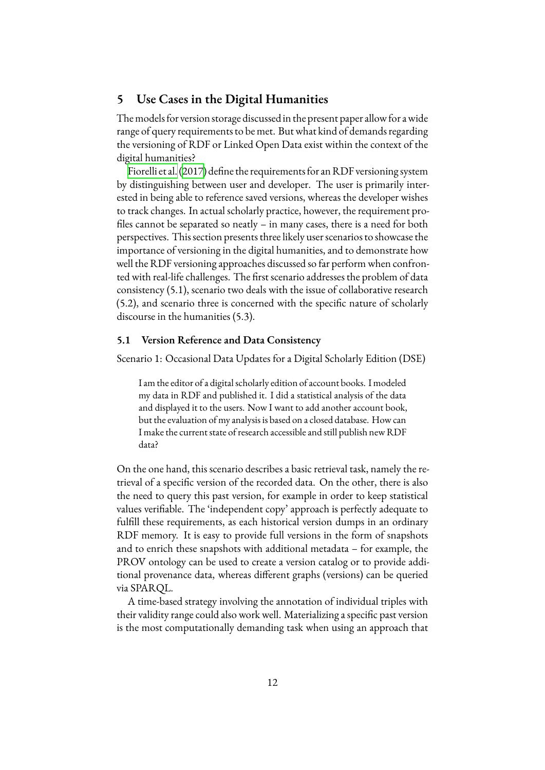## **5 Use Cases in the Digital Humanities**

The models for version storage discussed in the present paper allow for awide range of query requirements to be met. But what kind of demands regarding the versioning of RDF or Linked Open Data exist within the context of the digital humanities?

[Fiorelli et al.\(2017](#page-14-9)) define the requirements for an RDF versioning system by distinguishing between user and developer. The user is primarily interested in being able to reference saved versions, whereas the developer wishes to track changes. In actual scholarly practice, however, the requirement profiles cannot be separated so neatly – in many cases, there is a need for both perspectives. This section presents three likely user scenarios to showcase the importance of versioning in the digital humanities, and to demonstrate how well the RDF versioning approaches discussed so far perform when confronted with real-life challenges. The first scenario addresses the problem of data consistency (5.1), scenario two deals with the issue of collaborative research (5.2), and scenario three is concerned with the specific nature of scholarly discourse in the humanities (5.3).

## **5.1 Version Reference and Data Consistency**

Scenario 1: Occasional Data Updates for a Digital Scholarly Edition (DSE)

I am the editor of a digital scholarly edition of account books. I modeled my data in RDF and published it. I did a statistical analysis of the data and displayed it to the users. Now I want to add another account book, but the evaluation of my analysis is based on a closed database. How can I make the current state of research accessible and still publish new RDF data?

On the one hand, this scenario describes a basic retrieval task, namely the retrieval of a specific version of the recorded data. On the other, there is also the need to query this past version, for example in order to keep statistical values verifiable. The 'independent copy' approach is perfectly adequate to fulfill these requirements, as each historical version dumps in an ordinary RDF memory. It is easy to provide full versions in the form of snapshots and to enrich these snapshots with additional metadata – for example, the PROV ontology can be used to create a version catalog or to provide additional provenance data, whereas different graphs (versions) can be queried via SPARQL.

A time-based strategy involving the annotation of individual triples with their validity range could also work well. Materializing a specific past version is the most computationally demanding task when using an approach that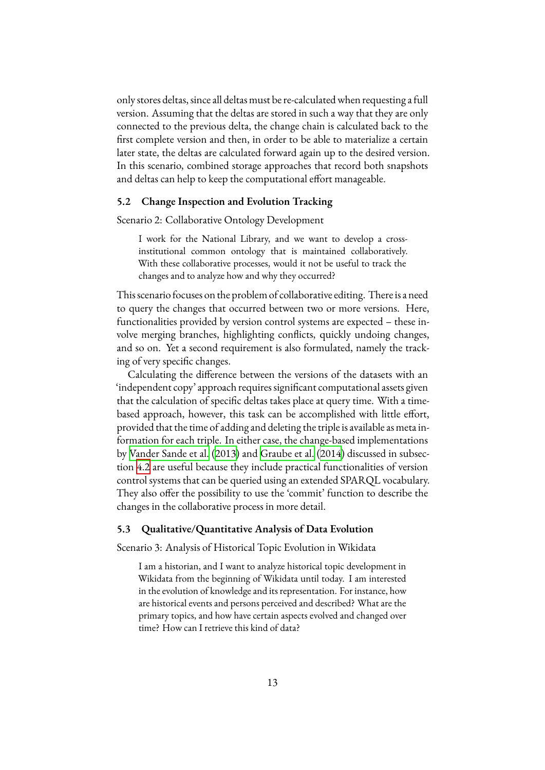only stores deltas, since all deltas must be re-calculated when requesting a full version. Assuming that the deltas are stored in such a way that they are only connected to the previous delta, the change chain is calculated back to the first complete version and then, in order to be able to materialize a certain later state, the deltas are calculated forward again up to the desired version. In this scenario, combined storage approaches that record both snapshots and deltas can help to keep the computational effort manageable.

#### **5.2 Change Inspection and Evolution Tracking**

Scenario 2: Collaborative Ontology Development

I work for the National Library, and we want to develop a crossinstitutional common ontology that is maintained collaboratively. With these collaborative processes, would it not be useful to track the changes and to analyze how and why they occurred?

This scenario focuses on the problem of collaborative editing. There is a need to query the changes that occurred between two or more versions. Here, functionalities provided by version control systems are expected – these involve merging branches, highlighting conflicts, quickly undoing changes, and so on. Yet a second requirement is also formulated, namely the tracking of very specific changes.

Calculating the difference between the versions of the datasets with an 'independent copy' approach requires significant computational assets given that the calculation of specific deltas takes place at query time. With a timebased approach, however, this task can be accomplished with little effort, provided that the time of adding and deleting the triple is available as meta information for each triple. In either case, the change-based implementations by [Vander Sande et al.](#page-15-6) [\(2013\)](#page-15-6) and [Graube et al.](#page-14-7) ([2014\)](#page-14-7) discussed in subsection [4.2](#page-9-2) are useful because they include practical functionalities of version control systems that can be queried using an extended SPARQL vocabulary. They also offer the possibility to use the 'commit' function to describe the changes in the collaborative process in more detail.

#### **5.3 Qualitative/Quantitative Analysis of Data Evolution**

Scenario 3: Analysis of Historical Topic Evolution in Wikidata

I am a historian, and I want to analyze historical topic development in Wikidata from the beginning of Wikidata until today. I am interested in the evolution of knowledge and its representation. For instance, how are historical events and persons perceived and described? What are the primary topics, and how have certain aspects evolved and changed over time? How can I retrieve this kind of data?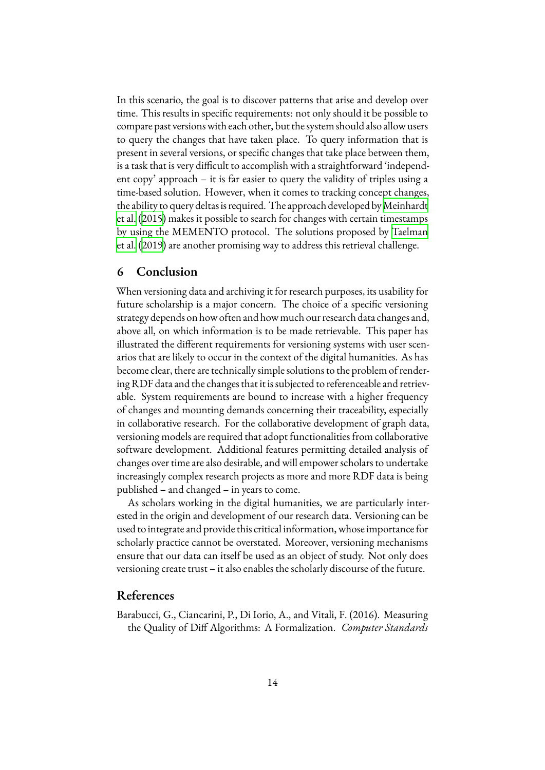In this scenario, the goal is to discover patterns that arise and develop over time. This results in specific requirements: not only should it be possible to compare past versions with each other, but the system should also allow users to query the changes that have taken place. To query information that is present in several versions, or specific changes that take place between them, is a task that is very difficult to accomplish with a straightforward 'independent copy' approach – it is far easier to query the validity of triples using a time-based solution. However, when it comes to tracking concept changes, the ability to query deltas is required. The approach developed by[Meinhardt](#page-15-5) [et al.](#page-15-5) ([2015\)](#page-15-5) makes it possible to search for changes with certain timestamps by using the MEMENTO protocol. The solutions proposed by [Taelman](#page-15-8) [et al.](#page-15-8) ([2019\)](#page-15-8) are another promising way to address this retrieval challenge.

## **6 Conclusion**

When versioning data and archiving it for research purposes, its usability for future scholarship is a major concern. The choice of a specific versioning strategy depends on how often and how much our research data changes and, above all, on which information is to be made retrievable. This paper has illustrated the different requirements for versioning systems with user scenarios that are likely to occur in the context of the digital humanities. As has become clear, there are technically simple solutions to the problem of rendering RDF data and the changes that it is subjected to referenceable and retrievable. System requirements are bound to increase with a higher frequency of changes and mounting demands concerning their traceability, especially in collaborative research. For the collaborative development of graph data, versioning models are required that adopt functionalities from collaborative software development. Additional features permitting detailed analysis of changes over time are also desirable, and will empower scholars to undertake increasingly complex research projects as more and more RDF data is being published – and changed – in years to come.

As scholars working in the digital humanities, we are particularly interested in the origin and development of our research data. Versioning can be used to integrate and provide this critical information, whose importance for scholarly practice cannot be overstated. Moreover, versioning mechanisms ensure that our data can itself be used as an object of study. Not only does versioning create trust – it also enables the scholarly discourse of the future.

# **References**

<span id="page-13-0"></span>Barabucci, G., Ciancarini, P., Di Iorio, A., and Vitali, F. (2016). Measuring the Quality of Diff Algorithms: A Formalization. *Computer Standards*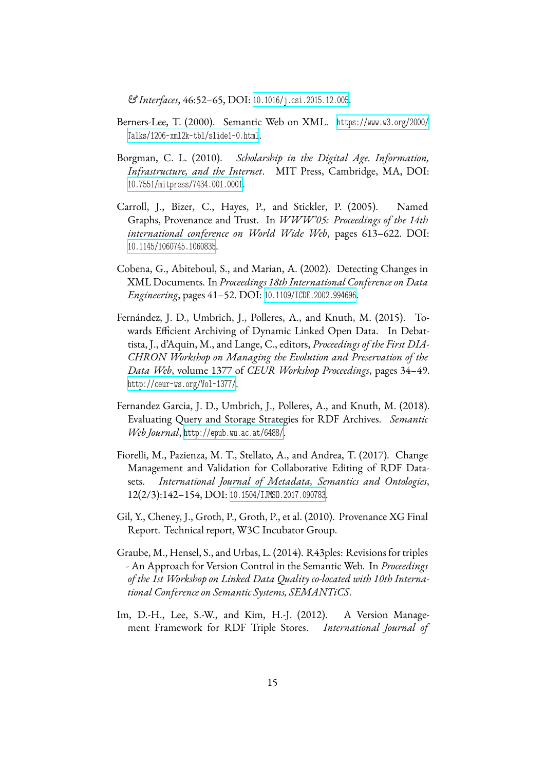*& Interfaces*, 46:52–65, DOI: [10.1016/j.csi.2015.12.005](https://dx.doi.org/10.1016/j.csi.2015.12.005).

- <span id="page-14-1"></span>Berners-Lee, T. (2000). Semantic Web on XML. [https://www.w3.org/2000/](https://www.w3.org/2000/Talks/1206-xml2k-tbl/slide1-0.html) [Talks/1206-xml2k-tbl/slide1-0.html](https://www.w3.org/2000/Talks/1206-xml2k-tbl/slide1-0.html).
- <span id="page-14-0"></span>Borgman, C. L. (2010). *Scholarship in the Digital Age. Information, Infrastructure, and the Internet*. MIT Press, Cambridge, MA, DOI: [10.7551/mitpress/7434.001.0001](https://dx.doi.org/10.7551/mitpress/7434.001.0001).
- <span id="page-14-3"></span>Carroll, J., Bizer, C., Hayes, P., and Stickler, P. (2005). Named Graphs, Provenance and Trust. In *WWW'05: Proceedings of the 14th international conference on World Wide Web*, pages 613–622. DOI: [10.1145/1060745.1060835](https://dx.doi.org/10.1145/1060745.1060835).
- <span id="page-14-4"></span>Cobena, G., Abiteboul, S., and Marian, A. (2002). Detecting Changes in XML Documents. In *Proceedings 18th International Conference on Data Engineering*, pages 41–52. DOI: [10.1109/ICDE.2002.994696](https://dx.doi.org/10.1109/ICDE.2002.994696).
- <span id="page-14-6"></span>Fernández, J. D., Umbrich, J., Polleres, A., and Knuth, M. (2015). Towards Efficient Archiving of Dynamic Linked Open Data. In Debattista, J., d'Aquin, M., and Lange, C., editors, *Proceedings of the First DIA-CHRON Workshop on Managing the Evolution and Preservation of the Data Web*, volume 1377 of *CEUR Workshop Proceedings*, pages 34–49. <http://ceur-ws.org/Vol-1377/>.
- <span id="page-14-5"></span>Fernandez Garcia, J. D., Umbrich, J., Polleres, A., and Knuth, M. (2018). Evaluating Query and Storage Strategies for RDF Archives. *Semantic Web Journal*, <http://epub.wu.ac.at/6488/>.
- <span id="page-14-9"></span>Fiorelli, M., Pazienza, M. T., Stellato, A., and Andrea, T. (2017). Change Management and Validation for Collaborative Editing of RDF Datasets. *International Journal of Metadata, Semantics and Ontologies*, 12(2/3):142–154, DOI: [10.1504/IJMSO.2017.090783](https://dx.doi.org/10.1504/IJMSO.2017.090783).
- <span id="page-14-2"></span>Gil, Y., Cheney, J., Groth, P., Groth, P., et al. (2010). Provenance XG Final Report. Technical report, W3C Incubator Group.
- <span id="page-14-7"></span>Graube, M., Hensel, S., and Urbas, L. (2014). R43ples: Revisions for triples - An Approach for Version Control in the Semantic Web. In *Proceedings of the 1st Workshop on Linked Data Quality co-located with 10th International Conference on Semantic Systems, SEMANTiCS*.
- <span id="page-14-8"></span>Im, D.-H., Lee, S.-W., and Kim, H.-J. (2012). A Version Management Framework for RDF Triple Stores. *International Journal of*